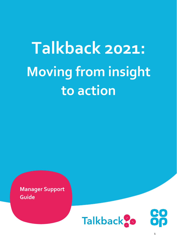# **Talkback 2021: Moving from insight to action**

**Manager Support Guide**



1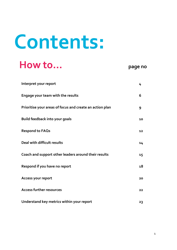# **Contents:**

## **How to… page no**

| Interpret your report                                    | 4  |
|----------------------------------------------------------|----|
| Engage your team with the results                        | 6  |
| Prioritise your areas of focus and create an action plan | 9  |
| <b>Build feedback into your goals</b>                    | 10 |
| <b>Respond to FAQs</b>                                   | 12 |
| Deal with difficult results                              | 14 |
| Coach and support other leaders around their results     | 15 |
| Respond if you have no report                            | 18 |
| Access your report                                       | 20 |
| <b>Access further resources</b>                          | 22 |
| Understand key metrics within your report                | 23 |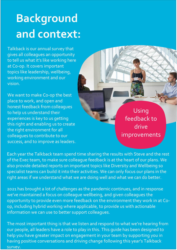## **Background and context:**

Talkback is our annual survey that gives all colleagues an opportunity to tell us what it's like working here at Co-op. It covers important topics like leadership, wellbeing, working environment and our vision.

We want to make Co-op the best place to work, and open and honest feedback from colleagues to help us understand their experiences is key to us getting this right and enabling us to create the right environment for all colleagues to contribute to our success, and to improve as leaders.

Using feedback to drive improvements

also provide detailed reports on important topics like Diversity and Wellbeing so specialist teams can build it into their activities. We can only focus our plans in the right areas if we understand what we are doing well and what we can do better. Each year the Talkback team spend time sharing the results with Steve and the rest of the Exec team, to make sure colleague feedback is at the heart of our plans. We

2021 has brought a lot of challenges as the pandemic continues, and in response we've maintained a focus on colleague wellbeing, and given colleagues the opportunity to provide even more feedback on the environment they work in at Coop, including hybrid working where applicable, to provide us with actionable information we can use to better support colleagues.

The most important thing is that we listen and respond to what we're hearing from our people, all leaders have a role to play in this. This guide has been designed to help you have greater impact on engagement in your team by supporting you in having positive conversations and driving change following this year's Talkback survey.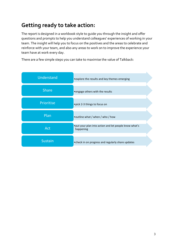## **Getting ready to take action:**

The report is designed in a workbook style to guide you through the insight and offer questions and prompts to help you understand colleagues' experiences of working in your team. The insight will help you to focus on the positives and the areas to celebrate and reinforce with your team, and also any areas to work on to improve the experience your team have at work every day.

There are a few simple steps you can take to maximise the value of Talkback:

| Understand     | • explore the results and key themes emerging                       |
|----------------|---------------------------------------------------------------------|
| <b>Share</b>   | • engage others with the results                                    |
| Prioritise     | . pick 2-3 things to focus on                                       |
| Plan           | • outline what / when / who / how                                   |
| Act            | • put your plan into action and let people know what's<br>happening |
| <b>Sustain</b> | • check in on progress and regularly share updates                  |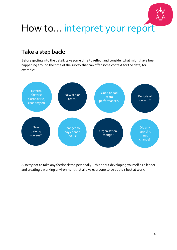

## **Take a step back:**

Before getting into the detail, take some time to reflect and consider what might have been happening around the time of the survey that can offer some context for the data, for example:



Also try not to take any feedback too personally – this about developing yourself as a leader and creating a working environment that allows everyone to be at their best at work.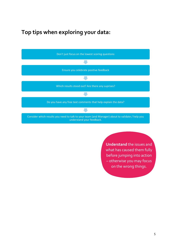### **Top tips when exploring your data:**



**Understand** the issues and what has caused them fully before jumping into action – otherwise you may focus on the wrong things.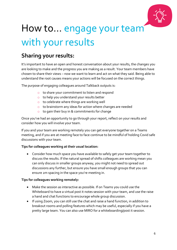

## How to… engage your team with your results

### **Sharing your results:**

It's important to have an open and honest conversation about your results, the changes you are looking to make and the progress you are making as a result. Your team members have chosen to share their views – now we want to learn and act on what they said. Being able to understand the root causes means your actions will be focused on the correct things.

The purpose of engaging colleagues around Talkback outputs is:

- o to share your commitment to listen and respond
- o to help you understand your results better
- o to celebrate where things are working well
- o to brainstorm any ideas for action where changes are needed
- o to gain their buy in & commitments for change

Once you've had an opportunity to go through your report, reflect on your results and consider how you will involve your team.

If you and your team are working remotely you can get everyone together on a Teams meeting, and if you are at meeting face to face continue to be mindful of holding Covid safe discussions with your team.

#### **Tips for colleagues working at their usual location:**

• Consider how much space you have available to safely get your team together to discuss the results. If the natural spread of shifts colleagues are working mean you can only discuss in smaller groups anyway, you might not need to spread out discussions any further, but ensure you have small enough groups that you can ensure 2m spacing in the space you're meeting in.

#### **Tips for colleagues working remotely:**

- Make the session as interactive as possible. If on Teams you could use the Whiteboard to have a virtual post it notes session with your team, and use the raise a hand and chat functions to encourage whole group discussion.
- If using Zoom, you can still use the chat and raise a hand function, in addition to breakout rooms and polling features which may be useful, especially if you have a pretty large team. You can also use MIRO for a whiteboarding/post it session.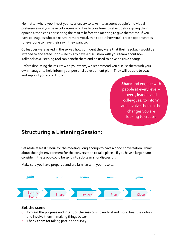No matter where you'll host your session, try to take into account people's individual preferences – if you have colleagues who like to take time to reflect before giving their opinions, then consider sharing the results before the meeting to give them time. If you have colleagues who are naturally more vocal, think about how you'll create opportunities for everyone to have their say if they want to.

Colleagues were asked in the survey how confident they were that their feedback would be listened to and acted upon –use this to have a discussion with your team about how Talkback as a listening tool can benefit them and be used to drive positive change.

Before discussing the results with your team, we recommend you discuss them with your own manager to help inform your personal development plan. They will be able to coach and support you accordingly.

> **Share** and engage with people at every level – peers, leaders and colleagues, to inform and involve them in the changes you are looking to create.

### **Structuring a Listening Session:**

Set aside at least 1 hour for the meeting, long enough to have a good conversation. Think about the right environment for the conversation to take place – if you have a large team consider if the group could be split into sub-teams for discussion.

Make sure you have prepared and are familiar with your results.



#### **Set the scene:**

- o **Explain the purpose and intent of the session** to understand more, hear their ideas and involve them in making things better
- o **Thank them** for taking part in the survey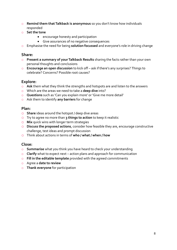- o **Remind them that Talkback is anonymous** so you don't know how individuals responded
- o **Set the tone**
	- encourage honesty and participation
	- Give assurances of no negative consequences
- o Emphasise the need for being **solution focussed** and everyone's role in driving change

#### **Share:**

- o **Present a summary of your Talkback Results** sharing the facts rather than your own personal thoughts and conclusions
- o **Encourage an open discussion** to kick off ask if there's any surprises? Things to celebrate? Concerns? Possible root causes?

#### **Explore:**

- o **Ask** them what they think the strengths and hotspots are and listen to the answers
- o Which are the areas we need to take a **deep dive** into?
- o **Questions** such as 'Can you explain more' or 'Give me more detail'
- o Ask them to identify **any barriers** for change

#### **Plan:**

- o **Share** ideas around the hotspot / deep dive areas
- o Try to agree no more than **3 things to action** to keep it realistic
- o **Mix** quick wins with longer term strategies
- o **Discuss the proposed actions**, consider how feasible they are, encourage constructive challenge, test ideas and prompt discussion
- o Think about actions in terms of **who / what / when / how**

#### **Close:**

- o **Summarise** what you think you have heard to check your understanding
- o **Clarify** what to expect next action plans and approach for communication
- o **Fill in the editable template** provided with the agreed commitments
- o Agree a **date to review**
- o **Thank everyone** for participation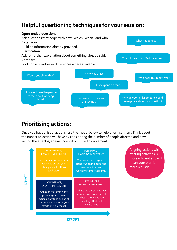### **Helpful questioning techniques for your session:**



## **Prioritising actions:**

Once you have a list of actions, use the model below to help prioritise them. Think about the impact an action will have by considering the number of people affected and how lasting the effect is, against how difficult it is to implement.



Aligning actions with existing activities is more efficient and will mean your plan is more realistic.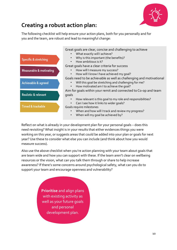

## **Creating a robust action plan:**

The following checklist will help ensure your action plans, both for you personally and for you and the team, are robust and lead to meaningful change:



• When will my goal be achieved by?

Reflect on what is already in your development plan for your personal goals – does this need revisiting? What insight is in your results that either evidences things you were working on this year, or suggests areas that could be added into your plan or goals for next year? Use these to consider what else you can include (and think about how you would measure success).

Also use the above checklist when you're action planning with your team about goals that are team wide and how you can support with these. If the team aren't clear on wellbeing resources or the vision, what can you talk them through or share to help increase awareness? If there's some concerns around psychological safety, what can you do to support your team and encourage openness and vulnerability?

> **Prioritise** and align plans with existing activity as well as your future goals and personal development plan.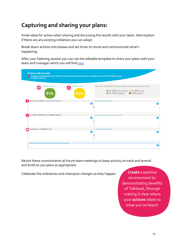## **Capturing and sharing your plans:**

Invite ideas for action when sharing and discussing the results with your team. Also explore if there are any existing initiatives you can adopt.

Break down actions into phases and set times to revisit and communicate what's happening.

After your listening session you can use the editable template to share your plans with your team and manager which you will find [here](https://colleagues.coop.co.uk/talkback-about-your-leaders)

| <b>Engagement index</b><br>Leadership index<br>63<br>81%<br>63% | Key: Colour-coding is based on industry-standard assessment of survey performance<br>• 70-100% (very good) • 60-69% (good)<br>• 50-59% (average) • 0-49% (poor) |
|-----------------------------------------------------------------|-----------------------------------------------------------------------------------------------------------------------------------------------------------------|
| Which results stood out most from this report?                  | These stood out because<br>l B'                                                                                                                                 |
| As a leader of this team, my commitments are                    | How will I know I have been successful?                                                                                                                         |
| As a team our commitments are                                   | How will we achieve this?<br>D                                                                                                                                  |

Revisit these commitments at future team meetings to keep activity on track and amend and build on you plans as appropriate.

Celebrate the milestones and champion changes as they happen. **Create** a positive

environment by demonstrating benefits of Talkback, through making it clear where your **actions** relate to what you've heard.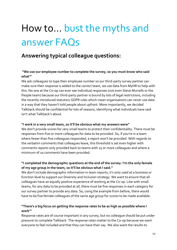## How to… bust the myths and answer FAQs

### **Answering typical colleague questions:**

#### **"We use our employee number to complete the survey, so you must know who said what'"**

We ask colleagues to type their employee number so our third-party survey partner can make sure their response is added to the correct team, we use data from MyHR to help with this. No one at the Co-op can ever see individual responses (not even Steve Murrells or the People team) because our third-party partner is bound by lots of legal restrictions, including the recently introduced statutory GDPR rules which mean organisations can never use data in a way that they haven't told people about upfront. More importantly, we decided Talkback should be confidential for lots of reasons, identifying what individuals have said isn't what Talkback's about.

#### **"I work in a very small team, so it'll be obvious what my answers were"**

We don't provide scores for very small teams to protect their confidentiality. There must be responses from five or more colleagues for data to be provided. So, if you're in a team where fewer than five colleagues responded, a report won't be provided. With regards to the verbatim comments that colleagues leave, this threshold is set even higher with comments reports only provided back to teams with 25 or more colleagues and where a minimum of 10 comments have been provided.

#### **"I completed the demographic questions at the end of the survey. I'm the only female of my age group in the team, so it'll be obvious what I said."**

We don't include demographic information in team reports, it's only used at a business or function level to support our Diversity and Inclusion strategy. We want to ensure that all colleagues have an equally positive experience of working at the Co-op. Like with small teams, for any data to be provided at all, there must be five responses in each category for our survey partner to provide any data. So, using the example from before, there would have to be five female colleagues of the same age group for scores to be made available.

#### **"There's a big focus on getting the response rates to be as high as possible where I work'"**

Response rates are of course important in any survey, but no colleague should be put under pressure to complete Talkback. The response rates matter to the Co-op because we want everyone to feel included and that they can have their say. We also want the results to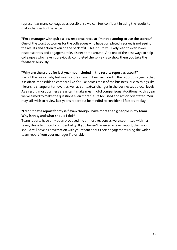represent as many colleagues as possible, so we can feel confident in using the results to make changes for the better.

**"I'm a manager with quite a low response rate, so I'm not planning to use the scores."**  One of the worst outcomes for the colleagues who have completed a survey is not seeing the results and action taken on the back of it. This in turn will likely lead to even lower response rates and engagement levels next time around. And one of the best ways to help colleagues who haven't previously completed the survey is to show them you take the feedback seriously.

#### **"Why are the scores for last year not included in the results report as usual?"**

Part of the reason why last year's scores haven't been included in the report this year is that it is often impossible to compare like-for-like across most of the business, due to things like hierarchy change or turnover, as well as contextual changes in the businesses at local levels. As a result, most business areas can't make meaningful comparisons. Additionally, this year we've aimed to make the questions even more future focussed and action orientated. You may still wish to review last year's report but be mindful to consider all factors at play.

#### **"I didn't get a report for myself even though I have more than 5 people in my team. Why is this, and what should I do?"**

Team reports have only been produced if  $5$  or more responses were submitted within a team, this is to protect confidentiality. If you haven't received a team report, then you should still have a conversation with your team about their engagement using the wider team report from your manager if available.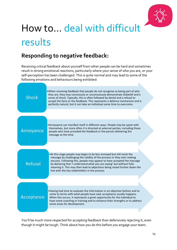

## How to… deal with difficult results

### **Responding to negative feedback:**

Receiving critical feedback about yourself from other people can be hard and sometimes result in strong emotional reactions, particularly where your sense of who you are, or your self-perception has been challenged. This is quite normal and may lead to some of the following emotions and behaviours being exhibited:



You'll be much more respected for accepting feedback than defensively rejecting it, even though it might be tough. Think about how you do this before you engage your team.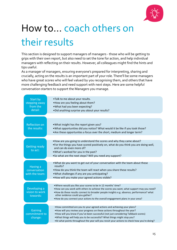

## How to… coach others on their results

This section is designed to support managers of managers - those who will be getting to grips with their own report, but also need to set the tone for action, and help individual managers with reflecting on their results. However, all colleagues might find the hints and tips useful.

As a manager of managers, ensuring everyone's prepared for interpreting, sharing and crucially, acting on the results is an important part of your role. There'll be some managers who have great scores who will feel valued by you recognising them, and others that have more challenging feedback and need support with next steps. Here are some helpful conversation starters to support the Managers you manage.

| Start by<br>stepping away<br>from the<br>detail: | .Talk to me about your results.<br>• How are you feeling about them?<br>. What had you been expecting?<br>. Did anything surprise you about your results?                                                                                                                                                                                                                                                                  |
|--------------------------------------------------|----------------------------------------------------------------------------------------------------------------------------------------------------------------------------------------------------------------------------------------------------------------------------------------------------------------------------------------------------------------------------------------------------------------------------|
| <b>Reflection on</b><br>the results:             | . What insight has the report given you?<br>. What opportunities did you notice? What would it be like if you took those?<br>• Are these opportunites a focus over the short, medium and longer term?                                                                                                                                                                                                                      |
| <b>Getting ready</b><br>to act:                  | • How are you going to understand the scores and why they came about?<br>• For the things you have scored positively on, what do you think you are doing well,<br>and can do even more of?<br>.What's worked for you in the past?<br>.So what are the next steps? Will you need any support?                                                                                                                               |
| Having a<br>conversation<br>with the team:       | . What do you want to get out of your conversation with the team about these<br>results?<br>. How do you think the team will react when you share these results?<br>. What challenges if any are you anticipating?<br>. How will you make your agreed actions visible?                                                                                                                                                     |
| Developing a<br>vision to work<br>towards:       | . Where would you like your scores to be in 12 months' time?<br>• How can you work with others to achieve the scores you want, what support may you need?<br>• How do these results connect to broader people insights e.g. absence, performance? what<br>other evidence could you gather?<br>• How do you connect your actions to the overall engagement plans in your area?                                              |
| Gaining<br>commitment to<br>change:              | • How committed are you to your agreed actions and achieving your plans?<br>• How will you review your progress on these actions throughout the year?<br>• How will you know if you've been successful (not just considering Talkback scores)<br>. What things will help you to be successful? What things might stop you?<br>• At what points throughout the year will you revsit your actions to check how you're doing? |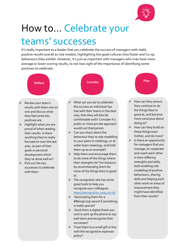

both enabling role modelling of positive behaviours, sharing skills and helping each other work on areas of improvement they might have identified from their results?

## How to… Celebrate your teams' successes

It's really important as a leader that you celebrate the success of managers with really positive results overall as role models, highlighting the good cultures they foster and Co-op behaviours they exhibit. However, it's just as important with managers who may have more average or lower scoring results, to not lose sight of the importance of identifying some positives to celebrate.



- $\triangleright$  Pick out the key successes to celebrate with them
- by recommending them for more of the things they're good at.  $\triangleright$  The recognition site has some
- great tools to help you recognise your colleagues <https://recognition.coop.co.uk/>
- $\triangleright$  Nominating them for a #BeingCoop award if something is really special?
- $\triangleright$  Send them a digital thank you card or pick up the phone to say well done and recognise their successes?
- $\triangleright$  Treat them to a small gift in line with the recognition expenses policy?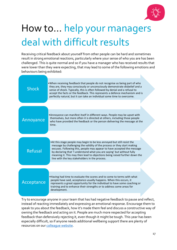

## How to… help your managers deal with difficult results

Receiving critical feedback about yourself from other people can be hard and sometimes result in strong emotional reactions, particularly where your sense of who you are has been challenged. This is quite normal and so if you have a manager who has received results that were lower than they were expecting, that may lead to some of the following emotions and behaviours being exhibited:

| <b>Shock</b> | • When receiving feedback that people do not recognise as being part of who<br>they are, they may consciously or unconsciously demonstrate disbelief and a<br>sense of shock. Typically, this is often followed by denial and a refusal to<br>accept the facts or the feedback. This represents a defence mechanism and is<br>perfectly natural, but it can take an individual some time to overcome.                                    |
|--------------|------------------------------------------------------------------------------------------------------------------------------------------------------------------------------------------------------------------------------------------------------------------------------------------------------------------------------------------------------------------------------------------------------------------------------------------|
|              |                                                                                                                                                                                                                                                                                                                                                                                                                                          |
| Annoyance    | • Annoyance can manifest itself in different ways. People may be upset with<br>themselves, but more often it is directed at others, including those people<br>who have provided the feedback or the person delivering the message at the<br>time.                                                                                                                                                                                        |
|              |                                                                                                                                                                                                                                                                                                                                                                                                                                          |
| Refusal      | . At this stage people may begin to be less annoyed but still resist the<br>message by challenging the validity of the process or they start making<br>excuses. Following this, people may appear to have accepted the message<br>by declaring that 'I understand what you are saying' but without fully<br>meaning it. This may then lead to objections being raised further down the<br>line with the key stakeholders in the process. |
|              |                                                                                                                                                                                                                                                                                                                                                                                                                                          |
| Acceptance   | . Having had time to evaluate the scores and to come to terms with what<br>people have said, acceptance usually happens. When this occurs, it<br>represents a great opportunity for the individual to have some coaching or                                                                                                                                                                                                              |
|              | training and to enhance their strengths or to address some areas for<br>development.                                                                                                                                                                                                                                                                                                                                                     |

Try to encourage anyone in your team that has had negative feedback to pause and reflect, instead of reacting immediately and expressing an emotional response. Encourage them to speak to you about the feedback, how it's made them feel and discuss a constructive way of owning the feedback and acting on it. People are much more respected for accepting feedback than defensively rejecting it, even though it might be tough. This year has been especially difficult, so if anyone needs additional wellbeing support there are plenty of resources on our [colleague website.](https://colleagues.coop.co.uk/co-op-care)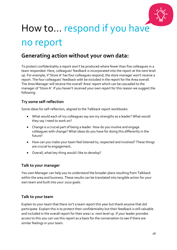

## How to… respond if you have no report

### **Generating action without your own data:**

To protect confidentiality a report won't be produced where fewer than five colleagues in a team responded. Here, colleagues' feedback is incorporated into the report at the next level up. For example, if 'Store A' has four colleagues respond, the store manager won't receive a report. The four colleagues' feedback with be included in the report for the Area overall. The Area Manager will receive the overall 'Area' report which can be cascaded to the manager of 'Store A'. If you haven't received your own report for this reason we suggest the following:

#### **Try some self-reflection**

Some ideas for self-reflection, aligned to the Talkback report workbooks:

- What would each of my colleagues say are my strengths as a leader? What would they say I need to work on?
- Change is a crucial part of being a leader. How do you involve and engage colleagues with change? What ideas do you have for doing this differently in the future?
- How can you make your team feel listened to, respected and involved? These things are crucial to engagement**.**
- Overall, what key thing would I like to develop?

#### **Talk to your manager**

You own Manager can help you to understand the broader plans resulting from Talkback within the area and business. These results can be translated into tangible action for your own team and built into your 2020 goals.

#### **Talk to your team**

Explain to your team that there isn't a team report this year but thank anyone that did participate. Explain this is to protect their confidentiality but their feedback is still valuable and included in the overall report for their area i.e. next level up. If your leader provides access to this you can use this report as a basis for the conversation to see if there are similar feelings in your team.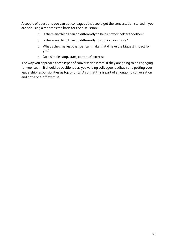A couple of questions you can ask colleagues that could get the conversation started if you are not using a report as the basis for the discussion:

- o Is there anything I can do differently to help us work better together?
- o Is there anything I can do differently to support you more?
- o What's the smallest change I can make that'd have the biggest impact for you?
- o Do a simple 'stop, start, continue' exercise.

The way you approach these types of conversation is vital if they are going to be engaging for your team. It should be positioned as you valuing colleague feedback and putting your leadership responsibilities as top priority. Also that this is part of an ongoing conversation and not a one-off exercise.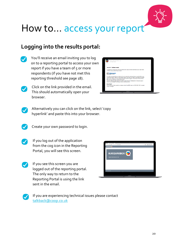

## How to… access your report

### **Logging into the results portal:**

You'll receive an email inviting you to log on to a reporting portal to access your own report if you have a team of 5 or more respondents (if you have not met this reporting threshold see page 18).



Click on the link provided in the email. This should automatically open your browser.

| <b>CONTRACTOR</b> | Research@karianandbox.com<br>Your Talkback Results                                                                                                                                                                                                                                                                                                                                                                                                                                          |    |
|-------------------|---------------------------------------------------------------------------------------------------------------------------------------------------------------------------------------------------------------------------------------------------------------------------------------------------------------------------------------------------------------------------------------------------------------------------------------------------------------------------------------------|----|
|                   |                                                                                                                                                                                                                                                                                                                                                                                                                                                                                             | ×  |
|                   |                                                                                                                                                                                                                                                                                                                                                                                                                                                                                             | ì. |
|                   | Your 2017 Talkback results                                                                                                                                                                                                                                                                                                                                                                                                                                                                  |    |
|                   |                                                                                                                                                                                                                                                                                                                                                                                                                                                                                             |    |
|                   | To access your report go to the link below and use your email address as your user name<br>and the unique password provided                                                                                                                                                                                                                                                                                                                                                                 |    |
|                   | <b>Link: Talkback results</b><br><b>Password: XXXXX</b>                                                                                                                                                                                                                                                                                                                                                                                                                                     |    |
|                   | It's really important that you take the time to read and understand your results before you<br>involve your team. When you are ready, spend time with your team in discussions to really<br>dig into the reasons for the results and what needs to happen in the future. This will then<br>feed into your Talkback performance goal.<br>Visit the Talkback page [hyperlink below under the word Talkback] for hints and tips on<br>how to view, analyse, involve your team and take action. |    |
|                   | Need help?<br>If you have any other questions, please contact the HRSS team on 0330 606 1001 or speak<br>to your manager.                                                                                                                                                                                                                                                                                                                                                                   |    |
|                   |                                                                                                                                                                                                                                                                                                                                                                                                                                                                                             |    |
|                   | MacBook                                                                                                                                                                                                                                                                                                                                                                                                                                                                                     |    |

Alternatively you can click on the link, select 'copy hyperlink' and paste this into your browser.



Create your own password to login.



If you log out of the application from the cog icon in the Reporting Portal, you will see this screen.



If you see this screen you are logged out of the reporting portal. The only way to return to the Reporting Portal is using the link sent in the email.





If you are experiencing technical issues please contact [talkback@coop.co.uk](mailto:talkback@coop.co.uk)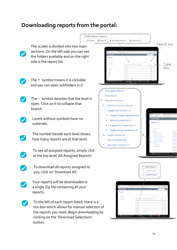### **Downloading reports from the portal:**

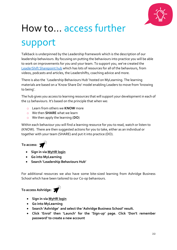

## How to… access further support

Talkback is underpinned by the Leadership framework which is the description of our leadership behaviours. By focusing on putting the behaviours into practice you will be able to work on improvements for you and your team. To support you, we've created the [LeaderShift Sharepoint hub](https://cooponline.sharepoint.com/sites/LeaderShift/Shared%20Documents/Forms/AllItems.aspx?id=%2Fsites%2FLeaderShift%2FShared%20Documents%2FLeadFest%202020%5FE%2Dmag%5Fv3%2Epdf&parent=%2Fsites%2FLeaderShift%2FShared%20Documents) which has lots of resources for all of the behaviours, from videos, podcasts and articles, the Leadershifts, coaching advice and more.

There is also the 'Leadership Behaviours Hub' hosted on MyLearning. The learning materials are based on a 'Know Share Do' model enabling Leaders to move from 'knowing to being'.

The hub gives you access to learning resources that will support your development in each of the 12 behaviours. It's based on the principle that when we:

- o Learn from others we **KNOW** more
- o We then **SHARE** what we learn
- o We then apply the learning (**DO**)

Within each behaviour you will find a learning resource for you to read, watch or listen to (KNOW). There are then suggested actions for you to take, either as an individual or together with your team (SHARE) and put it into practice (DO).

**To access:**

- **Sign in via [MyHR login](https://hcnq.login.em2.oraclecloud.com/oam/server/obrareq.cgi?encquery%3DjksMnRf0IsWAUFz0Cj2Rsx3u5BFf6oBwvUnYuFg3N035og%2FIyKbDv7KPFwPquhvpqsUZpgx%2B6BT6So1W%2FZ7TSam6QTdZWemHASw%2FLDDnNUZaADDuVVl6pGfyy1l87MKD1opea8xHITBfhMTIvX2epR4zkAMJrkKnJpvJ%2F1x%2FI6st1gb8y1teRiWOd%2B9YEPmOzM3h75mT0r79pjejmt7pS8D7CqrffrOfzrJIBlQjz4B18jmdZqyErAXEAXu0wVHwj2%2FSYFpDnZ3SkJZsKeedEwvNSHMpFSQdhQ3VlK%2BXwV3%2BIsEyCES8VxGXobznUobWI4nnlmnmoIGsB%2BUblg5xlWnN8tWBT0rRgAef38hhqs2j0l4Wj2jzT9irDgrwRSlBi6UKy2GTI7Vkr%2Fcq%2BFhkx1l0DiVCV2jiX3uWHlqlf6DOcrgPsFABsI12cAyx9dAZr653%2F5%2Be8g9%2FX%2B7RuuxquOwyE3F8r3E82%2F96VwpthenZ2l7o4SXzONksk1vC2rjr%20agentid%3DOraFusionApp_11AG%20ver%3D1%20crmethod%3D2%26cksum%3D71e82d0eef8afebe5d080464759f50cf58781605&ECID-Context=1.005_cLhxYjmEoI9pRcs1yd0004kP0005Ac%3BkXhgv0ZCLILIGVAPnJPRLPJBXKQP1LSTcLQRoPROXKTQjUO)**
- **Go into MyLearning**
- **Search 'Leadership Behaviours Hub'**

For additional resources we also have some bite-sized learning from Ashridge Business School which have been tailored to our Co-op behaviours.

### **To access Ashridge:**



- **Sign in via [MyHR login](https://hcnq.login.em2.oraclecloud.com/oam/server/obrareq.cgi?encquery%3DjksMnRf0IsWAUFz0Cj2Rsx3u5BFf6oBwvUnYuFg3N035og%2FIyKbDv7KPFwPquhvpqsUZpgx%2B6BT6So1W%2FZ7TSam6QTdZWemHASw%2FLDDnNUZaADDuVVl6pGfyy1l87MKD1opea8xHITBfhMTIvX2epR4zkAMJrkKnJpvJ%2F1x%2FI6st1gb8y1teRiWOd%2B9YEPmOzM3h75mT0r79pjejmt7pS8D7CqrffrOfzrJIBlQjz4B18jmdZqyErAXEAXu0wVHwj2%2FSYFpDnZ3SkJZsKeedEwvNSHMpFSQdhQ3VlK%2BXwV3%2BIsEyCES8VxGXobznUobWI4nnlmnmoIGsB%2BUblg5xlWnN8tWBT0rRgAef38hhqs2j0l4Wj2jzT9irDgrwRSlBi6UKy2GTI7Vkr%2Fcq%2BFhkx1l0DiVCV2jiX3uWHlqlf6DOcrgPsFABsI12cAyx9dAZr653%2F5%2Be8g9%2FX%2B7RuuxquOwyE3F8r3E82%2F96VwpthenZ2l7o4SXzONksk1vC2rjr%20agentid%3DOraFusionApp_11AG%20ver%3D1%20crmethod%3D2%26cksum%3D71e82d0eef8afebe5d080464759f50cf58781605&ECID-Context=1.005_cLhxYjmEoI9pRcs1yd0004kP0005Ac%3BkXhgv0ZCLILIGVAPnJPRLPJBXKQP1LSTcLQRoPROXKTQjUO)**
- **Go into MyLearning**
- **Search 'Ashridge' and select the 'Ashridge Business School' result.**
- **Click 'Enrol' then 'Launch' for the 'Sign-up' page. Click 'Don't remember password' to create a new account**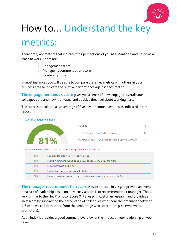

## How to… Understand the key metrics:

There are 3 key metrics that indicate their perceptions of you as a Manager, and Co-op as a place to work. There are:

- o Engagement score
- o Manager recommendation score
- o Leadership index

In most instances you will be able to compare these key metrics with others in your business area to indicate the relative performance against each metric.

**The engagement index score** gives you a sense of how 'engaged' overall your colleagues are and how motivated and positive they feel about working here.

The score is calculated as an average of five key outcome questions as indicated in the report:



**The manager recommendation score** was introduced in 2019 to provide an overall measure of leadership based on how likely a team is to recommend their manager. This is very similar to the Net Promotor Score (NPS) used in customer research and provides a 'net' score by subtracting the percentage of colleagues who score their manager between 0-6 (who we call detractors) from the percentage who score them 9-10 (who we call promotors).

As an index it provides a good summary overview of the impact of your leadership on your team.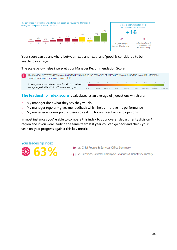

Your score can be anywhere between -100 and +100, and 'good' is considered to be anything over 25+.

The scale below helps interpret your Manager Recommendation Score.

The manager recommendation score is created by subtracting the proportion of colleagues who are detractors (scored 0-6) from the proportion who are promoters (scored 9-10).

 $-75$  $-50$  $-25$  $+75$  $+100$  $-100$  $\circ$  $+25$  $+50$ A manager recommendation score of 0 to +25 is considered average to good, while +25 to +50 is considered good. Very good Damaging Derailing Very poor Average Excellent Excen Good

**The leadership index score** is calculated as an average of 3 questions which are:

- o My manager does what they say they will do
- o My manager regularly gives me feedback which helps improve my performance
- o My manager encourages discussion by asking for our feedback and opinions

In most instances you're able to compare this index to your overall department / division / region and if you were leading the same team last year you can go back and check your year-on-year progress against this key metric:

Your leadership index



- -19 vs. Chief People & Services Office Summary
- -11 vs. Pensions, Reward, Employee Relations & Benefits Summary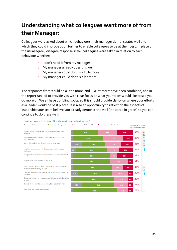## **Understanding what colleagues want more of from their Manager:**

Colleagues were asked about which behaviours their manager demonstrates well and which they could improve upon further to enable colleagues to be at their best. In place of the usual agree / disagree response scale, colleagues were asked in relation to each behaviour whether:

o I don't need it from my manager

I want my manager to do more of the following to help me be at my best:\*

- o My manager already does this well
- o My manager could do this a little more
- o My manager could do this a lot more

The responses from 'could do a little more' and '…a lot more' have been combined, and in the report ranked to provide you with clear focus on what your team would like to see you do more of. We all have our blind spots, so this should provide clarity on where your efforts as a leader would be best placed. It is also an opportunity to reflect on the aspects of leadership your team believe you already demonstrate well (indicated in green) so you can continue to do these well.